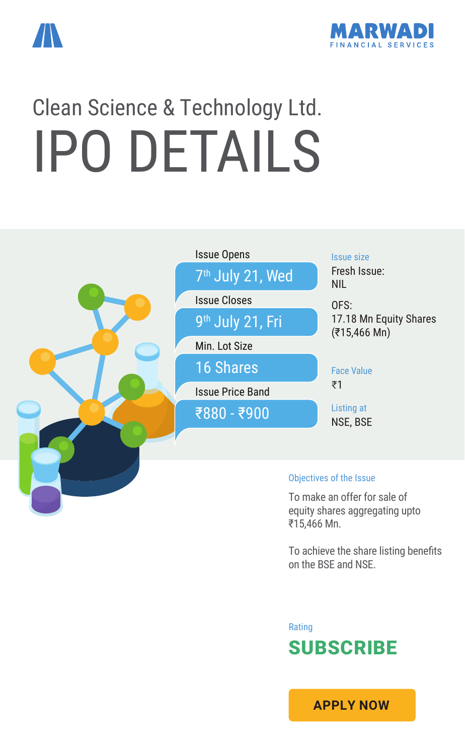



# Clean Science & Technology Ltd. IPO DETAILS



equity shares aggregating upto ₹15,466 Mn.

To achieve the share listing benefits on the BSE and NSE.

Rating SUBSCRIBE

**[APPLY NOW](https://boffice.marwadionline.com/MSFLBackoffice/ipo.aspx)**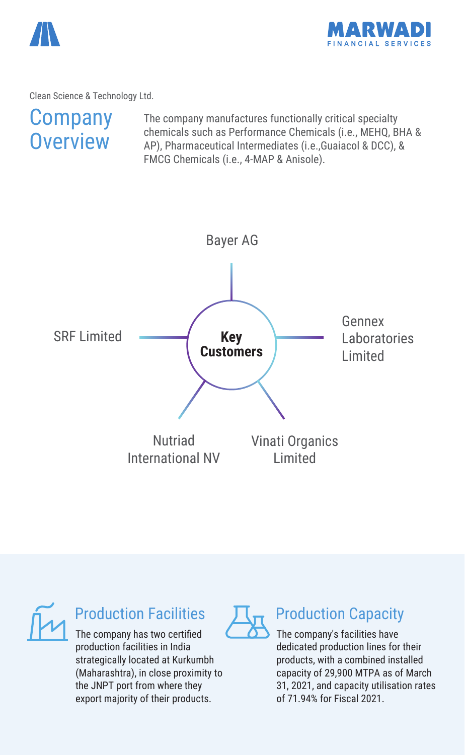



Clean Science & Technology Ltd.

# **Company Overview**

The company manufactures functionally critical specialty chemicals such as Performance Chemicals (i.e., MEHQ, BHA & AP), Pharmaceutical Intermediates (i.e.,Guaiacol & DCC), & FMCG Chemicals (i.e., 4-MAP & Anisole).





# Production Facilities

The company has two certified production facilities in India strategically located at Kurkumbh (Maharashtra), in close proximity to the JNPT port from where they export majority of their products.



## Production Capacity

The company's facilities have dedicated production lines for their products, with a combined installed capacity of 29,900 MTPA as of March 31, 2021, and capacity utilisation rates of 71.94% for Fiscal 2021.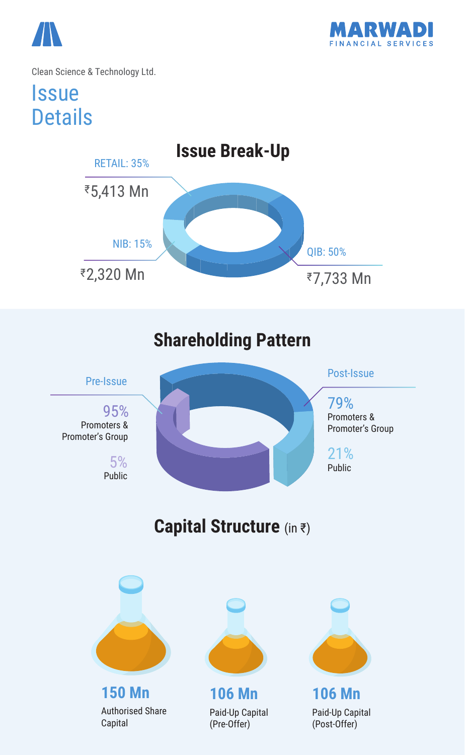



Clean Science & Technology Ltd.

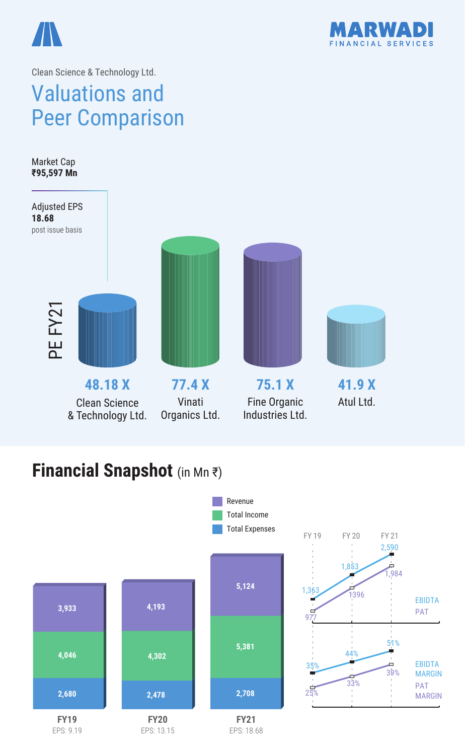



2,590

 $\frac{1}{1,984}$ 

EBIDTA PAT

EBIDTA MARGIN PAT MARGIN

51%

39%

Ō

1396

33%

Ò

44%

Clean Science & Technology Ltd.

# Valuations and Peer Comparison

**41.9 X** Atul Ltd. **75.1 X** Fine Organic Industries Ltd. **77.4 X** Vinati Organics Ltd. **48.18 X** Clean Science & Technology Ltd. Market Cap **₹95,597 Mn** Adjusted EPS **18.68** post issue basis PE FY21

# **Financial Snapshot** (in Mn ₹)